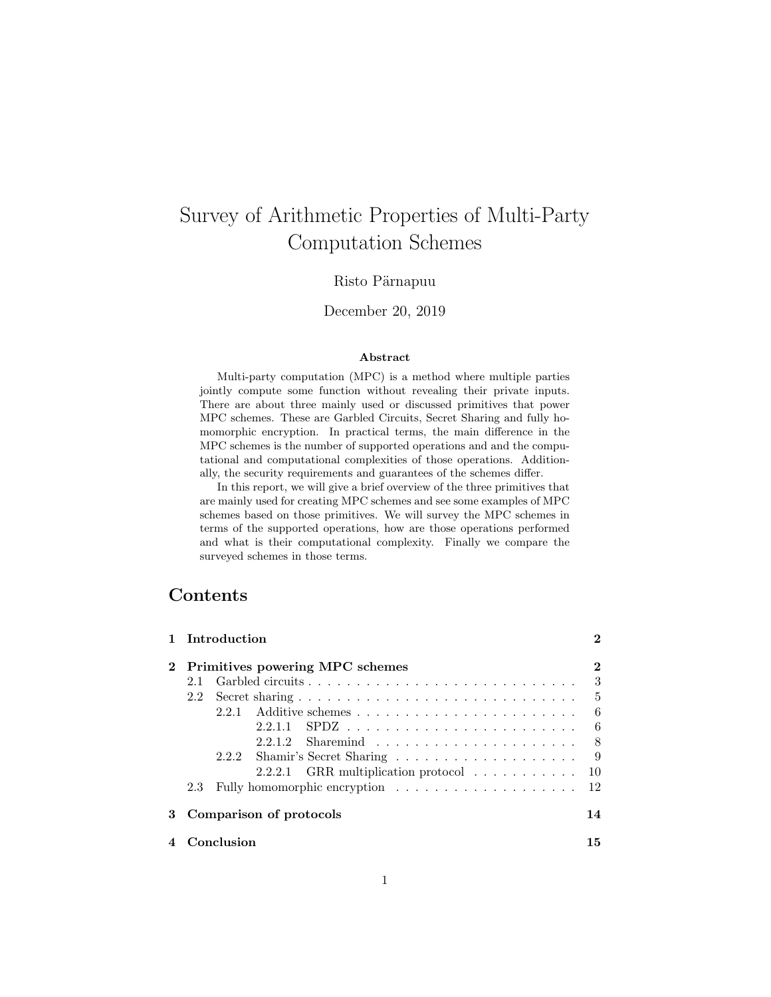# Survey of Arithmetic Properties of Multi-Party Computation Schemes

### Risto Pärnapuu

### December 20, 2019

#### Abstract

Multi-party computation (MPC) is a method where multiple parties jointly compute some function without revealing their private inputs. There are about three mainly used or discussed primitives that power MPC schemes. These are Garbled Circuits, Secret Sharing and fully homomorphic encryption. In practical terms, the main difference in the MPC schemes is the number of supported operations and and the computational and computational complexities of those operations. Additionally, the security requirements and guarantees of the schemes differ.

In this report, we will give a brief overview of the three primitives that are mainly used for creating MPC schemes and see some examples of MPC schemes based on those primitives. We will survey the MPC schemes in terms of the supported operations, how are those operations performed and what is their computational complexity. Finally we compare the surveyed schemes in those terms.

# Contents

|   |                         | 1 Introduction                                             | 2              |  |  |
|---|-------------------------|------------------------------------------------------------|----------------|--|--|
|   |                         | 2 Primitives powering MPC schemes                          | $\bf{2}$       |  |  |
|   | 21                      |                                                            | 3              |  |  |
|   | 2.2                     |                                                            | $\overline{5}$ |  |  |
|   |                         | 2.2.1                                                      | 6              |  |  |
|   |                         |                                                            | -6             |  |  |
|   |                         |                                                            | -8             |  |  |
|   |                         |                                                            | -9             |  |  |
|   |                         | 2.2.2.1 GRR multiplication protocol $\ldots \ldots \ldots$ | 10             |  |  |
|   | 2.3                     |                                                            | 12             |  |  |
| 3 | Comparison of protocols |                                                            |                |  |  |
|   |                         | Conclusion                                                 | 15             |  |  |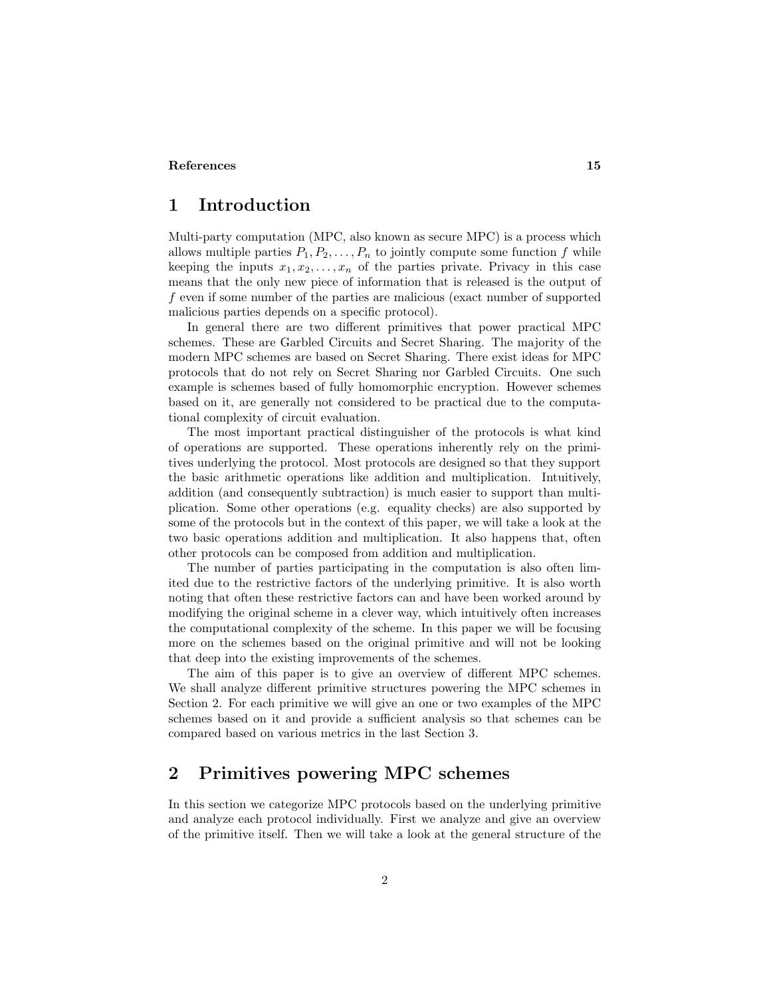#### <span id="page-1-0"></span>[References](#page-14-0) 15

# 1 Introduction

Multi-party computation (MPC, also known as secure MPC) is a process which allows multiple parties  $P_1, P_2, \ldots, P_n$  to jointly compute some function f while keeping the inputs  $x_1, x_2, \ldots, x_n$  of the parties private. Privacy in this case means that the only new piece of information that is released is the output of f even if some number of the parties are malicious (exact number of supported malicious parties depends on a specific protocol).

In general there are two different primitives that power practical MPC schemes. These are Garbled Circuits and Secret Sharing. The majority of the modern MPC schemes are based on Secret Sharing. There exist ideas for MPC protocols that do not rely on Secret Sharing nor Garbled Circuits. One such example is schemes based of fully homomorphic encryption. However schemes based on it, are generally not considered to be practical due to the computational complexity of circuit evaluation.

The most important practical distinguisher of the protocols is what kind of operations are supported. These operations inherently rely on the primitives underlying the protocol. Most protocols are designed so that they support the basic arithmetic operations like addition and multiplication. Intuitively, addition (and consequently subtraction) is much easier to support than multiplication. Some other operations (e.g. equality checks) are also supported by some of the protocols but in the context of this paper, we will take a look at the two basic operations addition and multiplication. It also happens that, often other protocols can be composed from addition and multiplication.

The number of parties participating in the computation is also often limited due to the restrictive factors of the underlying primitive. It is also worth noting that often these restrictive factors can and have been worked around by modifying the original scheme in a clever way, which intuitively often increases the computational complexity of the scheme. In this paper we will be focusing more on the schemes based on the original primitive and will not be looking that deep into the existing improvements of the schemes.

The aim of this paper is to give an overview of different MPC schemes. We shall analyze different primitive structures powering the MPC schemes in Section 2. For each primitive we will give an one or two examples of the MPC schemes based on it and provide a sufficient analysis so that schemes can be compared based on various metrics in the last Section 3.

## <span id="page-1-1"></span>2 Primitives powering MPC schemes

In this section we categorize MPC protocols based on the underlying primitive and analyze each protocol individually. First we analyze and give an overview of the primitive itself. Then we will take a look at the general structure of the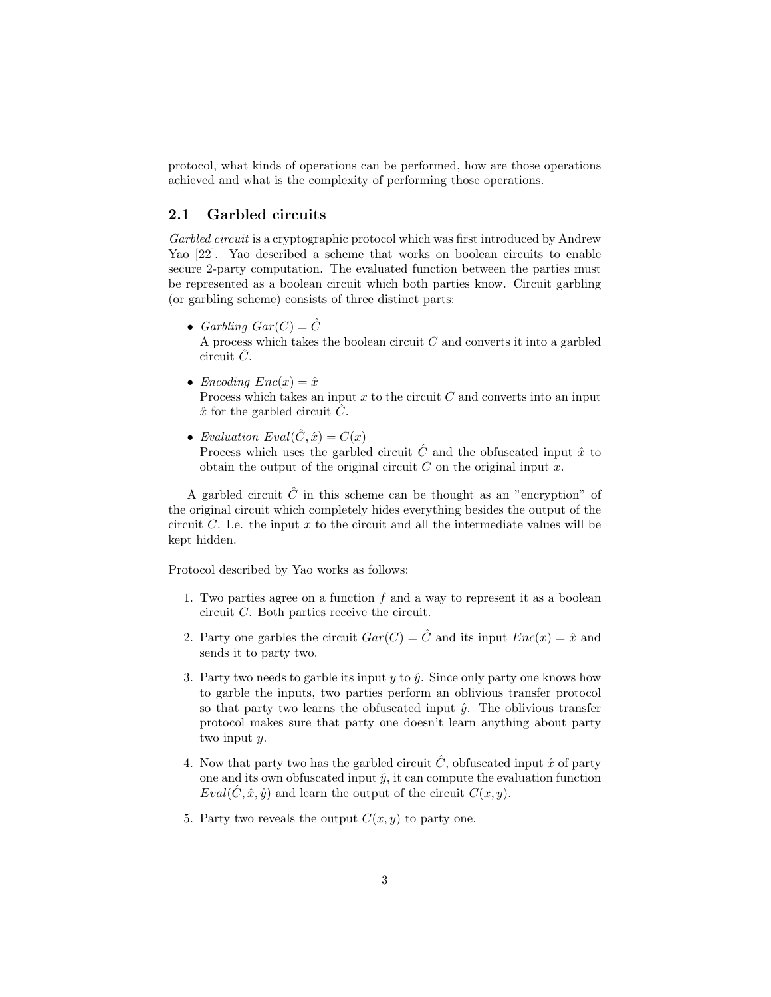protocol, what kinds of operations can be performed, how are those operations achieved and what is the complexity of performing those operations.

### <span id="page-2-0"></span>2.1 Garbled circuits

Garbled circuit is a cryptographic protocol which was first introduced by Andrew Yao [\[22\]](#page-16-0). Yao described a scheme that works on boolean circuits to enable secure 2-party computation. The evaluated function between the parties must be represented as a boolean circuit which both parties know. Circuit garbling (or garbling scheme) consists of three distinct parts:

• Garbling  $Gar(C) = \hat{C}$ 

A process which takes the boolean circuit  $C$  and converts it into a garbled circuit  $\hat{C}$ .

• Encoding  $Enc(x) = \hat{x}$ 

Process which takes an input  $x$  to the circuit  $C$  and converts into an input  $\hat{x}$  for the garbled circuit  $\hat{C}$ .

• Evaluation  $Eval(\hat{C}, \hat{x}) = C(x)$ Process which uses the garbled circuit  $\hat{C}$  and the obfuscated input  $\hat{x}$  to obtain the output of the original circuit  $C$  on the original input  $x$ .

A garbled circuit  $\hat{C}$  in this scheme can be thought as an "encryption" of the original circuit which completely hides everything besides the output of the circuit  $C$ . I.e. the input  $x$  to the circuit and all the intermediate values will be kept hidden.

Protocol described by Yao works as follows:

- 1. Two parties agree on a function f and a way to represent it as a boolean circuit C. Both parties receive the circuit.
- 2. Party one garbles the circuit  $Gar(C) = \hat{C}$  and its input  $Enc(x) = \hat{x}$  and sends it to party two.
- 3. Party two needs to garble its input  $y$  to  $\hat{y}$ . Since only party one knows how to garble the inputs, two parties perform an oblivious transfer protocol so that party two learns the obfuscated input  $\hat{y}$ . The oblivious transfer protocol makes sure that party one doesn't learn anything about party two input y.
- 4. Now that party two has the garbled circuit  $\hat{C}$ , obfuscated input  $\hat{x}$  of party one and its own obfuscated input  $\hat{y}$ , it can compute the evaluation function  $Eval(C, \hat{x}, \hat{y})$  and learn the output of the circuit  $C(x, y)$ .
- 5. Party two reveals the output  $C(x, y)$  to party one.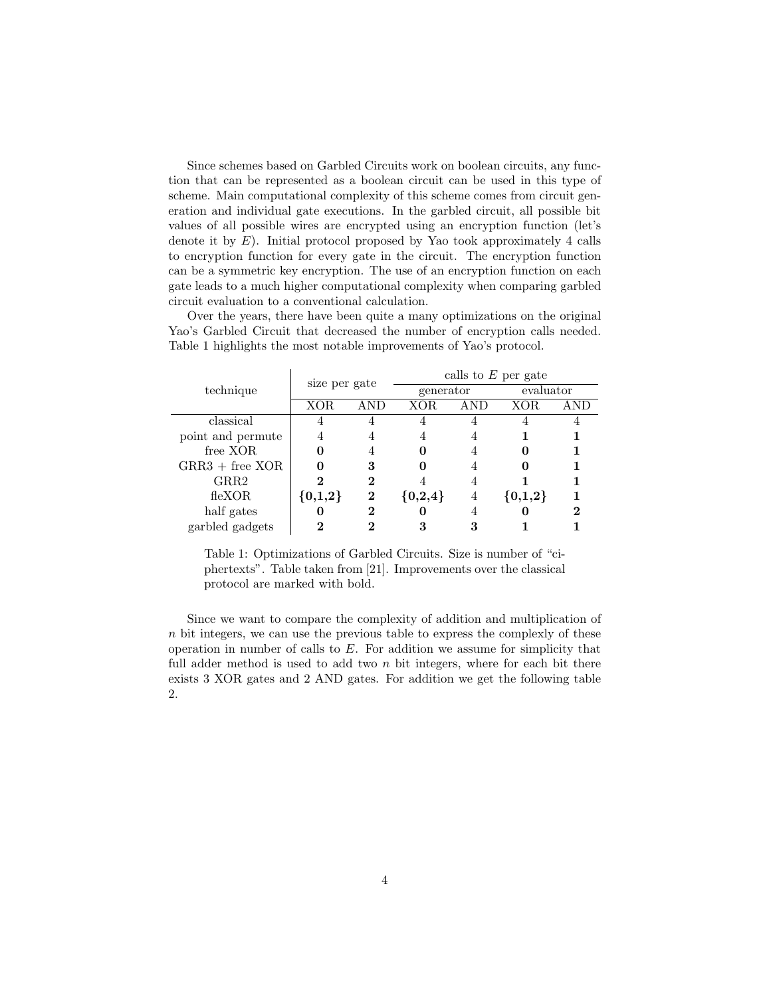Since schemes based on Garbled Circuits work on boolean circuits, any function that can be represented as a boolean circuit can be used in this type of scheme. Main computational complexity of this scheme comes from circuit generation and individual gate executions. In the garbled circuit, all possible bit values of all possible wires are encrypted using an encryption function (let's denote it by  $E$ ). Initial protocol proposed by Yao took approximately 4 calls to encryption function for every gate in the circuit. The encryption function can be a symmetric key encryption. The use of an encryption function on each gate leads to a much higher computational complexity when comparing garbled circuit evaluation to a conventional calculation.

Over the years, there have been quite a many optimizations on the original Yao's Garbled Circuit that decreased the number of encryption calls needed. Table [1](#page-3-0) highlights the most notable improvements of Yao's protocol.

<span id="page-3-0"></span>

|                   | size per gate |          | calls to $E$ per gate |   |           |  |
|-------------------|---------------|----------|-----------------------|---|-----------|--|
| technique         |               |          | generator             |   | evaluator |  |
|                   | XOR           | ANE.     | XOR.                  |   | XOR.      |  |
| classical         |               |          |                       |   |           |  |
| point and permute | 4             |          | 4                     |   |           |  |
| free XOR          |               |          |                       |   |           |  |
| $GRR3 + free XOR$ |               | 3        |                       |   |           |  |
| GRR2              | 2             | 2        |                       |   |           |  |
| flexOR            | ${0,1,2}$     | $\bf{2}$ | ${0,2,4}$             | 4 | ${0,1,2}$ |  |
| half gates        |               | 2        |                       |   |           |  |
| garbled gadgets   | ∍             |          |                       |   |           |  |

Table 1: Optimizations of Garbled Circuits. Size is number of "ciphertexts". Table taken from [\[21\]](#page-16-1). Improvements over the classical protocol are marked with bold.

Since we want to compare the complexity of addition and multiplication of n bit integers, we can use the previous table to express the complexly of these operation in number of calls to  $E$ . For addition we assume for simplicity that full adder method is used to add two  $n$  bit integers, where for each bit there exists 3 XOR gates and 2 AND gates. For addition we get the following table [2.](#page-4-1)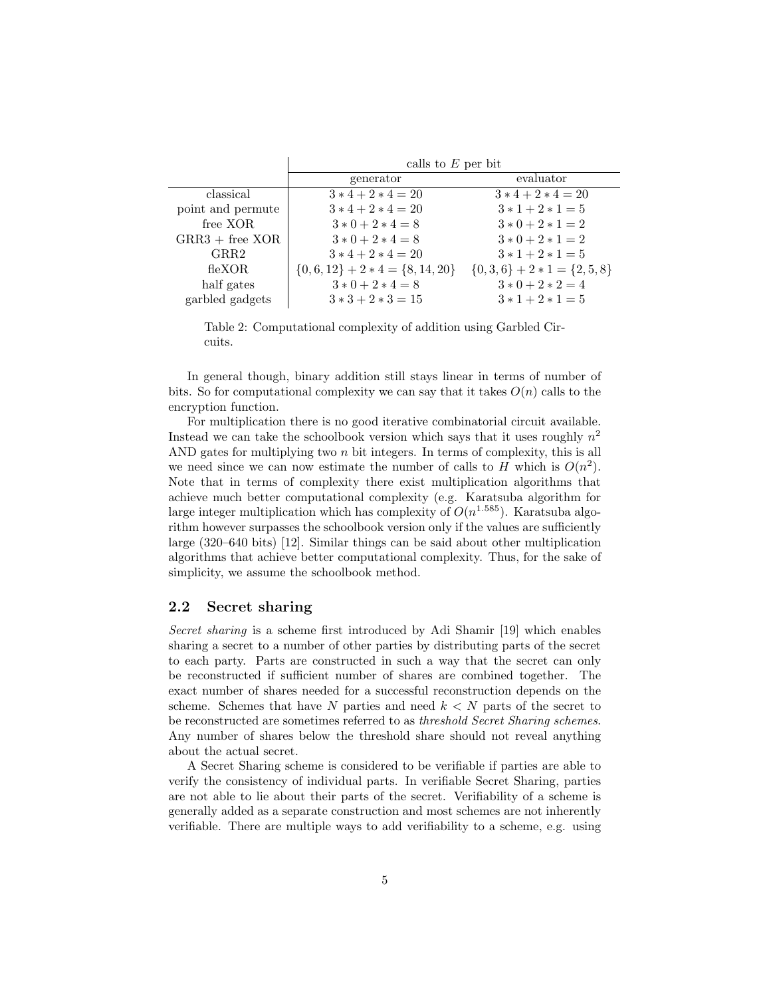<span id="page-4-1"></span>

|                   | calls to $E$ per bit                 |                           |  |  |
|-------------------|--------------------------------------|---------------------------|--|--|
|                   | generator                            | evaluator                 |  |  |
| classical         | $3*4+2*4=20$                         | $3*4+2*4=20$              |  |  |
| point and permute | $3*4+2*4=20$                         | $3*1+2*1=5$               |  |  |
| free XOR          | $3 * 0 + 2 * 4 = 8$                  | $3 * 0 + 2 * 1 = 2$       |  |  |
| $GRR3 + free XOR$ | $3 * 0 + 2 * 4 = 8$                  | $3 * 0 + 2 * 1 = 2$       |  |  |
| GRR2              | $3*4+2*4=20$                         | $3*1+2*1=5$               |  |  |
| flexOR            | $\{0,6,12\}$ + 2 * 4 = $\{8,14,20\}$ | $\{0,3,6\}+2*1=\{2,5,8\}$ |  |  |
| half gates        | $3 * 0 + 2 * 4 = 8$                  | $3 * 0 + 2 * 2 = 4$       |  |  |
| garbled gadgets   | $3*3+2*3=15$                         | $3 * 1 + 2 * 1 = 5$       |  |  |

Table 2: Computational complexity of addition using Garbled Circuits.

In general though, binary addition still stays linear in terms of number of bits. So for computational complexity we can say that it takes  $O(n)$  calls to the encryption function.

For multiplication there is no good iterative combinatorial circuit available. Instead we can take the schoolbook version which says that it uses roughly  $n^2$ AND gates for multiplying two  $n$  bit integers. In terms of complexity, this is all we need since we can now estimate the number of calls to H which is  $O(n^2)$ . Note that in terms of complexity there exist multiplication algorithms that achieve much better computational complexity (e.g. Karatsuba algorithm for large integer multiplication which has complexity of  $O(n^{1.585})$ . Karatsuba algorithm however surpasses the schoolbook version only if the values are sufficiently large (320–640 bits) [\[12\]](#page-15-0). Similar things can be said about other multiplication algorithms that achieve better computational complexity. Thus, for the sake of simplicity, we assume the schoolbook method.

### <span id="page-4-0"></span>2.2 Secret sharing

Secret sharing is a scheme first introduced by Adi Shamir [\[19\]](#page-16-2) which enables sharing a secret to a number of other parties by distributing parts of the secret to each party. Parts are constructed in such a way that the secret can only be reconstructed if sufficient number of shares are combined together. The exact number of shares needed for a successful reconstruction depends on the scheme. Schemes that have N parties and need  $k < N$  parts of the secret to be reconstructed are sometimes referred to as threshold Secret Sharing schemes. Any number of shares below the threshold share should not reveal anything about the actual secret.

A Secret Sharing scheme is considered to be verifiable if parties are able to verify the consistency of individual parts. In verifiable Secret Sharing, parties are not able to lie about their parts of the secret. Verifiability of a scheme is generally added as a separate construction and most schemes are not inherently verifiable. There are multiple ways to add verifiability to a scheme, e.g. using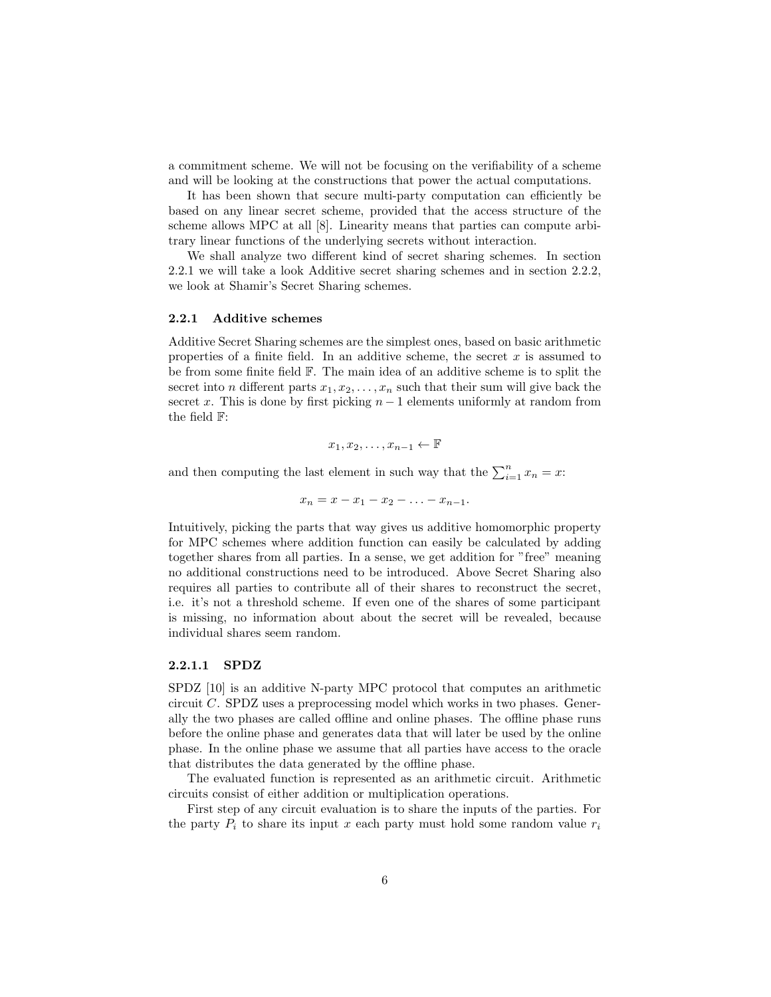a commitment scheme. We will not be focusing on the verifiability of a scheme and will be looking at the constructions that power the actual computations.

It has been shown that secure multi-party computation can efficiently be based on any linear secret scheme, provided that the access structure of the scheme allows MPC at all [\[8\]](#page-15-1). Linearity means that parties can compute arbitrary linear functions of the underlying secrets without interaction.

We shall analyze two different kind of secret sharing schemes. In section 2.2.1 we will take a look Additive secret sharing schemes and in section 2.2.2, we look at Shamir's Secret Sharing schemes.

#### <span id="page-5-0"></span>2.2.1 Additive schemes

Additive Secret Sharing schemes are the simplest ones, based on basic arithmetic properties of a finite field. In an additive scheme, the secret  $x$  is assumed to be from some finite field F. The main idea of an additive scheme is to split the secret into *n* different parts  $x_1, x_2, \ldots, x_n$  such that their sum will give back the secret x. This is done by first picking  $n-1$  elements uniformly at random from the field F:

$$
x_1, x_2, \ldots, x_{n-1} \leftarrow \mathbb{F}
$$

and then computing the last element in such way that the  $\sum_{i=1}^{n} x_i = x$ :

$$
x_n = x - x_1 - x_2 - \ldots - x_{n-1}.
$$

Intuitively, picking the parts that way gives us additive homomorphic property for MPC schemes where addition function can easily be calculated by adding together shares from all parties. In a sense, we get addition for "free" meaning no additional constructions need to be introduced. Above Secret Sharing also requires all parties to contribute all of their shares to reconstruct the secret, i.e. it's not a threshold scheme. If even one of the shares of some participant is missing, no information about about the secret will be revealed, because individual shares seem random.

#### <span id="page-5-1"></span>2.2.1.1 SPDZ

SPDZ [\[10\]](#page-15-2) is an additive N-party MPC protocol that computes an arithmetic circuit C. SPDZ uses a preprocessing model which works in two phases. Generally the two phases are called offline and online phases. The offline phase runs before the online phase and generates data that will later be used by the online phase. In the online phase we assume that all parties have access to the oracle that distributes the data generated by the offline phase.

The evaluated function is represented as an arithmetic circuit. Arithmetic circuits consist of either addition or multiplication operations.

First step of any circuit evaluation is to share the inputs of the parties. For the party  $P_i$  to share its input x each party must hold some random value  $r_i$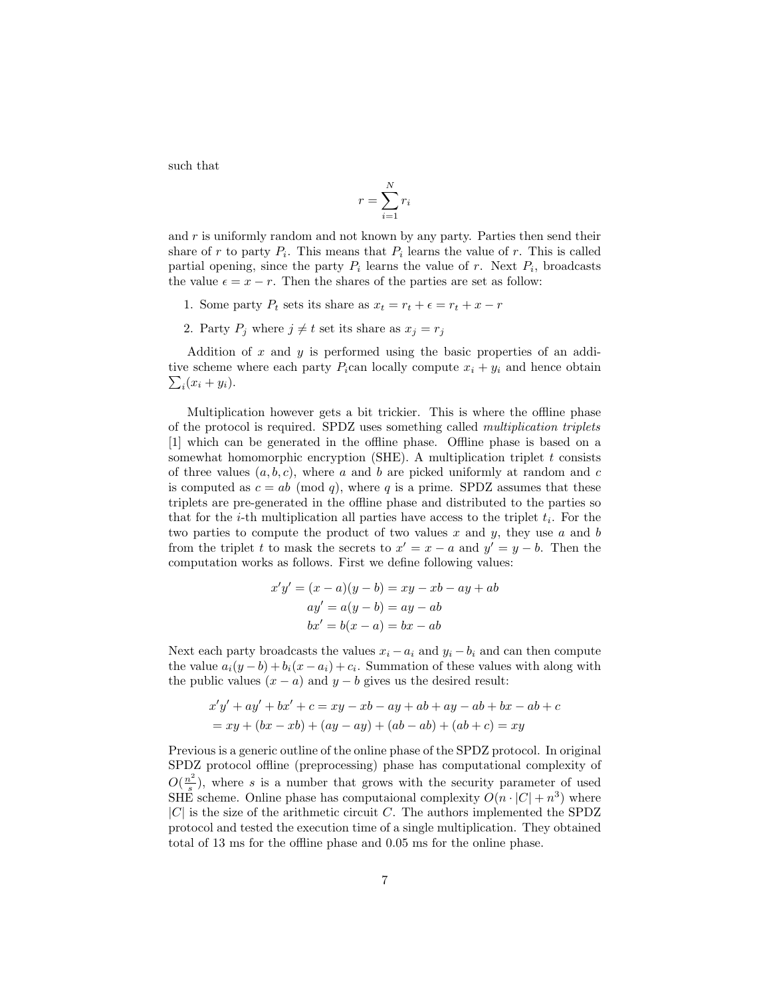such that

$$
r = \sum_{i=1}^{N} r_i
$$

and  $r$  is uniformly random and not known by any party. Parties then send their share of r to party  $P_i$ . This means that  $P_i$  learns the value of r. This is called partial opening, since the party  $P_i$  learns the value of r. Next  $P_i$ , broadcasts the value  $\epsilon = x - r$ . Then the shares of the parties are set as follow:

- 1. Some party  $P_t$  sets its share as  $x_t = r_t + \epsilon = r_t + x r$
- 2. Party  $P_j$  where  $j \neq t$  set its share as  $x_j = r_j$

Addition of  $x$  and  $y$  is performed using the basic properties of an additive scheme where each party  $P_i$ can locally compute  $x_i + y_i$  and hence obtain  $\sum_i (x_i + y_i).$ 

Multiplication however gets a bit trickier. This is where the offline phase of the protocol is required. SPDZ uses something called multiplication triplets [\[1\]](#page-14-1) which can be generated in the offline phase. Offline phase is based on a somewhat homomorphic encryption (SHE). A multiplication triplet  $t$  consists of three values  $(a, b, c)$ , where a and b are picked uniformly at random and c is computed as  $c = ab \pmod{q}$ , where q is a prime. SPDZ assumes that these triplets are pre-generated in the offline phase and distributed to the parties so that for the *i*-th multiplication all parties have access to the triplet  $t_i$ . For the two parties to compute the product of two values  $x$  and  $y$ , they use  $a$  and  $b$ from the triplet t to mask the secrets to  $x' = x - a$  and  $y' = y - b$ . Then the computation works as follows. First we define following values:

$$
x'y' = (x-a)(y-b) = xy - xb - ay + ab
$$
  

$$
ay' = a(y-b) = ay - ab
$$
  

$$
bx' = b(x-a) = bx - ab
$$

Next each party broadcasts the values  $x_i - a_i$  and  $y_i - b_i$  and can then compute the value  $a_i(y - b) + b_i(x - a_i) + c_i$ . Summation of these values with along with the public values  $(x - a)$  and  $y - b$  gives us the desired result:

$$
x'y' + ay' + bx' + c = xy - xb - ay + ab + ay - ab + bx - ab + c
$$
  
= xy + (bx - xb) + (ay - ay) + (ab - ab) + (ab + c) = xy

Previous is a generic outline of the online phase of the SPDZ protocol. In original SPDZ protocol offline (preprocessing) phase has computational complexity of  $O(\frac{n^2}{\epsilon})$  $s^{2}$ ), where s is a number that grows with the security parameter of used SHE scheme. Online phase has computaional complexity  $O(n \cdot |C| + n^3)$  where  $|C|$  is the size of the arithmetic circuit C. The authors implemented the SPDZ protocol and tested the execution time of a single multiplication. They obtained total of 13 ms for the offline phase and 0.05 ms for the online phase.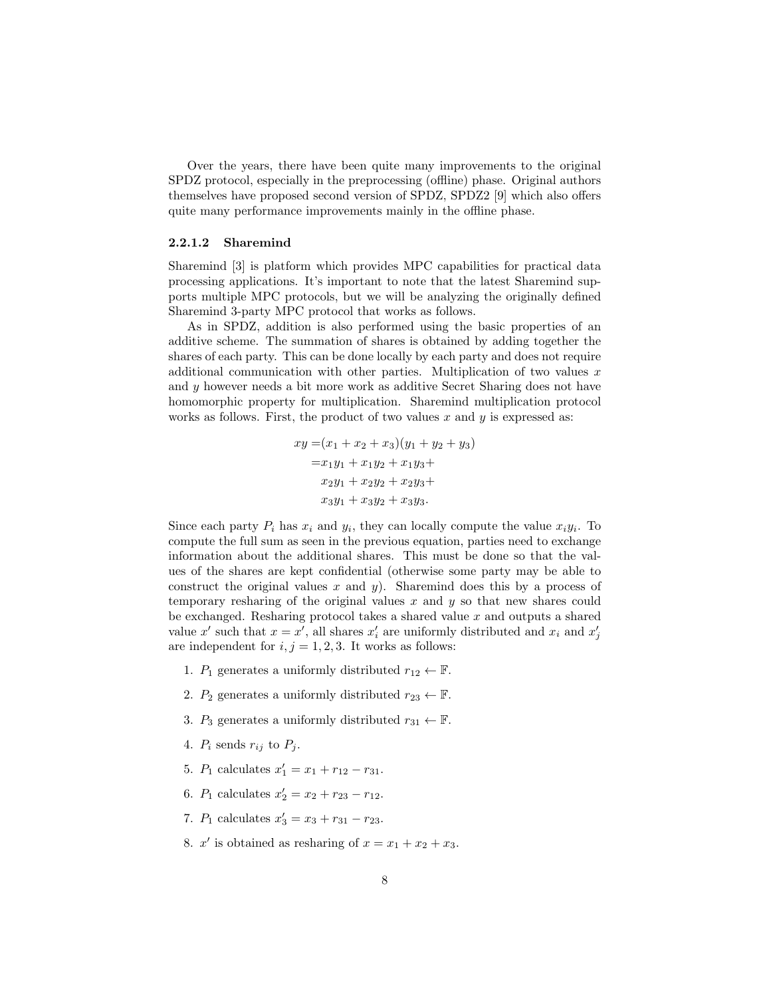Over the years, there have been quite many improvements to the original SPDZ protocol, especially in the preprocessing (offline) phase. Original authors themselves have proposed second version of SPDZ, SPDZ2 [\[9\]](#page-15-3) which also offers quite many performance improvements mainly in the offline phase.

#### <span id="page-7-0"></span>2.2.1.2 Sharemind

Sharemind [\[3\]](#page-14-2) is platform which provides MPC capabilities for practical data processing applications. It's important to note that the latest Sharemind supports multiple MPC protocols, but we will be analyzing the originally defined Sharemind 3-party MPC protocol that works as follows.

As in SPDZ, addition is also performed using the basic properties of an additive scheme. The summation of shares is obtained by adding together the shares of each party. This can be done locally by each party and does not require additional communication with other parties. Multiplication of two values  $x$ and y however needs a bit more work as additive Secret Sharing does not have homomorphic property for multiplication. Sharemind multiplication protocol works as follows. First, the product of two values  $x$  and  $y$  is expressed as:

$$
xy = (x_1 + x_2 + x_3)(y_1 + y_2 + y_3)
$$
  
=  $x_1y_1 + x_1y_2 + x_1y_3 +$   
 $x_2y_1 + x_2y_2 + x_2y_3 +$   
 $x_3y_1 + x_3y_2 + x_3y_3.$ 

Since each party  $P_i$  has  $x_i$  and  $y_i$ , they can locally compute the value  $x_i y_i$ . To compute the full sum as seen in the previous equation, parties need to exchange information about the additional shares. This must be done so that the values of the shares are kept confidential (otherwise some party may be able to construct the original values  $x$  and  $y$ ). Sharemind does this by a process of temporary resharing of the original values x and  $y$  so that new shares could be exchanged. Resharing protocol takes a shared value  $x$  and outputs a shared value x' such that  $x = x'$ , all shares  $x'_i$  are uniformly distributed and  $x_i$  and  $x'_j$ are independent for  $i, j = 1, 2, 3$ . It works as follows:

- 1.  $P_1$  generates a uniformly distributed  $r_{12} \leftarrow \mathbb{F}$ .
- 2.  $P_2$  generates a uniformly distributed  $r_{23} \leftarrow \mathbb{F}$ .
- 3.  $P_3$  generates a uniformly distributed  $r_{31} \leftarrow \mathbb{F}$ .
- 4.  $P_i$  sends  $r_{ij}$  to  $P_j$ .
- 5.  $P_1$  calculates  $x'_1 = x_1 + r_{12} r_{31}$ .
- 6.  $P_1$  calculates  $x'_2 = x_2 + r_{23} r_{12}$ .
- 7.  $P_1$  calculates  $x'_3 = x_3 + r_{31} r_{23}$ .
- 8.  $x'$  is obtained as resharing of  $x = x_1 + x_2 + x_3$ .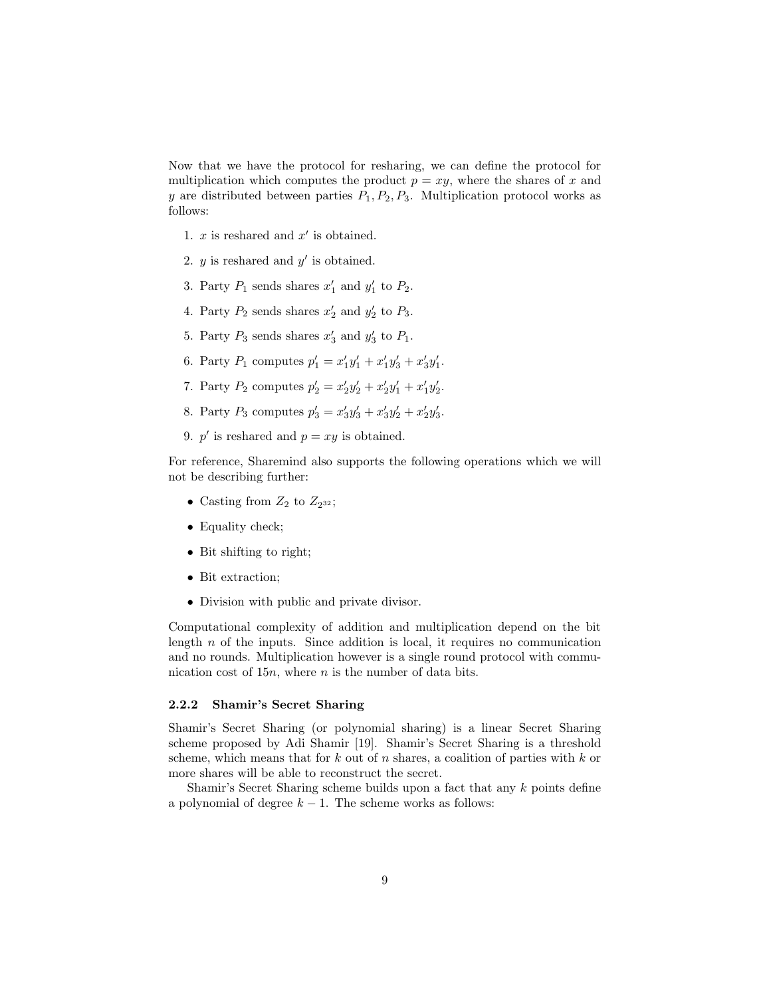Now that we have the protocol for resharing, we can define the protocol for multiplication which computes the product  $p = xy$ , where the shares of x and y are distributed between parties  $P_1, P_2, P_3$ . Multiplication protocol works as follows:

- 1.  $x$  is reshared and  $x'$  is obtained.
- 2.  $y$  is reshared and  $y'$  is obtained.
- 3. Party  $P_1$  sends shares  $x'_1$  and  $y'_1$  to  $P_2$ .
- 4. Party  $P_2$  sends shares  $x'_2$  and  $y'_2$  to  $P_3$ .
- 5. Party  $P_3$  sends shares  $x'_3$  and  $y'_3$  to  $P_1$ .
- 6. Party  $P_1$  computes  $p'_1 = x'_1y'_1 + x'_1y'_3 + x'_3y'_1$ .
- 7. Party  $P_2$  computes  $p'_2 = x'_2y'_2 + x'_2y'_1 + x'_1y'_2$ .
- 8. Party  $P_3$  computes  $p'_3 = x'_3y'_3 + x'_3y'_2 + x'_2y'_3$ .
- 9.  $p'$  is reshared and  $p = xy$  is obtained.

For reference, Sharemind also supports the following operations which we will not be describing further:

- Casting from  $Z_2$  to  $Z_{2^{32}}$ ;
- Equality check;
- Bit shifting to right;
- Bit extraction;
- Division with public and private divisor.

Computational complexity of addition and multiplication depend on the bit length  $n$  of the inputs. Since addition is local, it requires no communication and no rounds. Multiplication however is a single round protocol with communication cost of  $15n$ , where n is the number of data bits.

#### <span id="page-8-0"></span>2.2.2 Shamir's Secret Sharing

Shamir's Secret Sharing (or polynomial sharing) is a linear Secret Sharing scheme proposed by Adi Shamir [\[19\]](#page-16-2). Shamir's Secret Sharing is a threshold scheme, which means that for k out of n shares, a coalition of parties with k or more shares will be able to reconstruct the secret.

Shamir's Secret Sharing scheme builds upon a fact that any  $k$  points define a polynomial of degree  $k - 1$ . The scheme works as follows: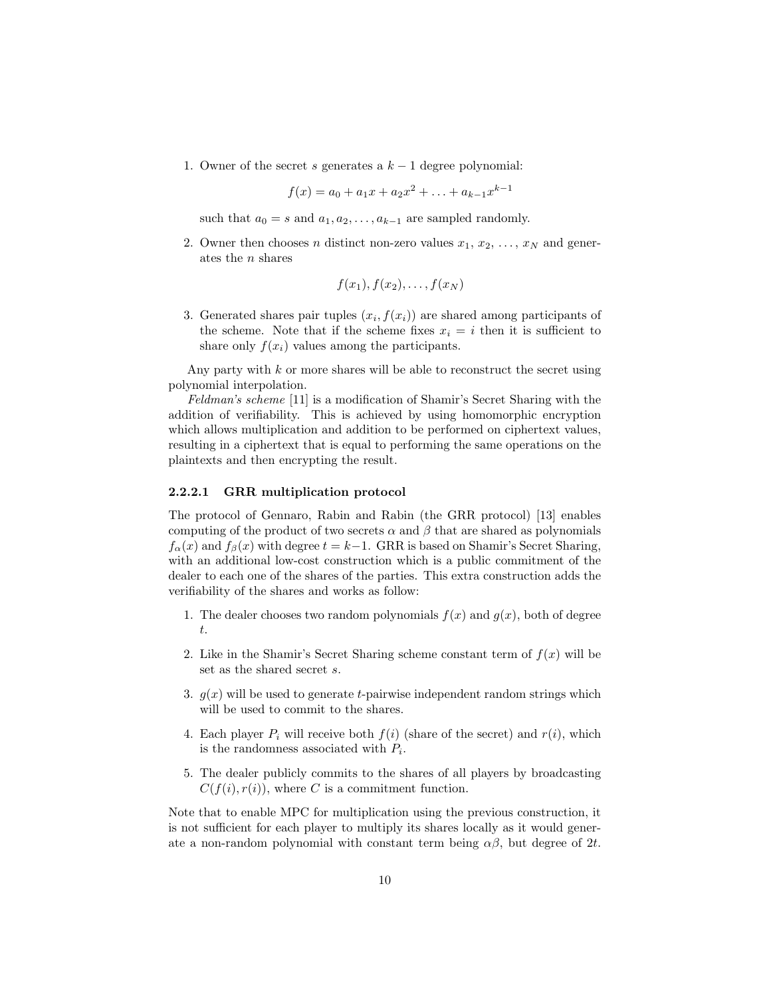1. Owner of the secret s generates a  $k-1$  degree polynomial:

$$
f(x) = a_0 + a_1x + a_2x^2 + \ldots + a_{k-1}x^{k-1}
$$

such that  $a_0 = s$  and  $a_1, a_2, \ldots, a_{k-1}$  are sampled randomly.

2. Owner then chooses *n* distinct non-zero values  $x_1, x_2, \ldots, x_N$  and generates the n shares

$$
f(x_1), f(x_2), \ldots, f(x_N)
$$

3. Generated shares pair tuples  $(x_i, f(x_i))$  are shared among participants of the scheme. Note that if the scheme fixes  $x_i = i$  then it is sufficient to share only  $f(x_i)$  values among the participants.

Any party with  $k$  or more shares will be able to reconstruct the secret using polynomial interpolation.

Feldman's scheme [\[11\]](#page-15-4) is a modification of Shamir's Secret Sharing with the addition of verifiability. This is achieved by using homomorphic encryption which allows multiplication and addition to be performed on ciphertext values, resulting in a ciphertext that is equal to performing the same operations on the plaintexts and then encrypting the result.

#### <span id="page-9-0"></span>2.2.2.1 GRR multiplication protocol

The protocol of Gennaro, Rabin and Rabin (the GRR protocol) [\[13\]](#page-15-5) enables computing of the product of two secrets  $\alpha$  and  $\beta$  that are shared as polynomials  $f_{\alpha}(x)$  and  $f_{\beta}(x)$  with degree  $t = k-1$ . GRR is based on Shamir's Secret Sharing, with an additional low-cost construction which is a public commitment of the dealer to each one of the shares of the parties. This extra construction adds the verifiability of the shares and works as follow:

- 1. The dealer chooses two random polynomials  $f(x)$  and  $g(x)$ , both of degree t.
- 2. Like in the Shamir's Secret Sharing scheme constant term of  $f(x)$  will be set as the shared secret s.
- 3.  $g(x)$  will be used to generate t-pairwise independent random strings which will be used to commit to the shares.
- 4. Each player  $P_i$  will receive both  $f(i)$  (share of the secret) and  $r(i)$ , which is the randomness associated with  $P_i$ .
- 5. The dealer publicly commits to the shares of all players by broadcasting  $C(f(i), r(i))$ , where C is a commitment function.

Note that to enable MPC for multiplication using the previous construction, it is not sufficient for each player to multiply its shares locally as it would generate a non-random polynomial with constant term being  $\alpha\beta$ , but degree of 2t.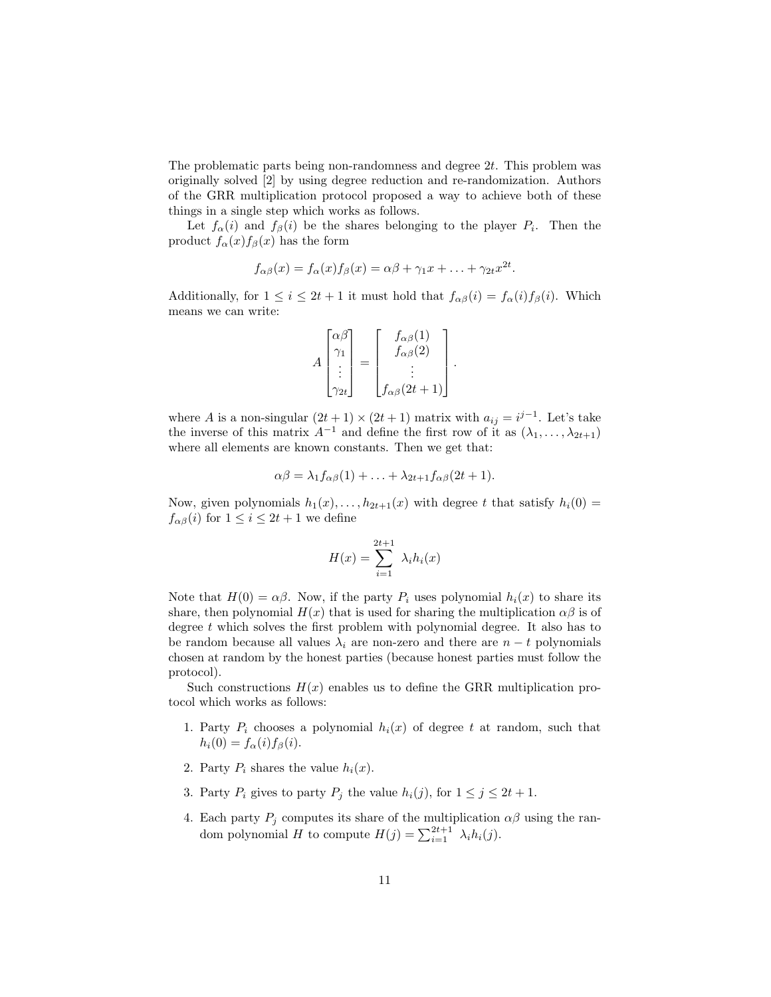The problematic parts being non-randomness and degree  $2t$ . This problem was originally solved [\[2\]](#page-14-3) by using degree reduction and re-randomization. Authors of the GRR multiplication protocol proposed a way to achieve both of these things in a single step which works as follows.

Let  $f_{\alpha}(i)$  and  $f_{\beta}(i)$  be the shares belonging to the player  $P_i$ . Then the product  $f_{\alpha}(x) f_{\beta}(x)$  has the form

$$
f_{\alpha\beta}(x) = f_{\alpha}(x)f_{\beta}(x) = \alpha\beta + \gamma_1x + \ldots + \gamma_{2t}x^{2t}.
$$

Additionally, for  $1 \leq i \leq 2t + 1$  it must hold that  $f_{\alpha\beta}(i) = f_{\alpha}(i) f_{\beta}(i)$ . Which means we can write:

$$
A\begin{bmatrix} \alpha\beta \\ \gamma_1 \\ \vdots \\ \gamma_{2t} \end{bmatrix} = \begin{bmatrix} f_{\alpha\beta}(1) \\ f_{\alpha\beta}(2) \\ \vdots \\ f_{\alpha\beta}(2t+1) \end{bmatrix}
$$

.

where A is a non-singular  $(2t+1) \times (2t+1)$  matrix with  $a_{ij} = i^{j-1}$ . Let's take the inverse of this matrix  $A^{-1}$  and define the first row of it as  $(\lambda_1, \ldots, \lambda_{2t+1})$ where all elements are known constants. Then we get that:

$$
\alpha\beta = \lambda_1 f_{\alpha\beta}(1) + \ldots + \lambda_{2t+1} f_{\alpha\beta}(2t+1).
$$

Now, given polynomials  $h_1(x), \ldots, h_{2t+1}(x)$  with degree t that satisfy  $h_i(0) =$  $f_{\alpha\beta}(i)$  for  $1 \leq i \leq 2t+1$  we define

$$
H(x) = \sum_{i=1}^{2t+1} \lambda_i h_i(x)
$$

Note that  $H(0) = \alpha \beta$ . Now, if the party  $P_i$  uses polynomial  $h_i(x)$  to share its share, then polynomial  $H(x)$  that is used for sharing the multiplication  $\alpha\beta$  is of degree t which solves the first problem with polynomial degree. It also has to be random because all values  $\lambda_i$  are non-zero and there are  $n - t$  polynomials chosen at random by the honest parties (because honest parties must follow the protocol).

Such constructions  $H(x)$  enables us to define the GRR multiplication protocol which works as follows:

- 1. Party  $P_i$  chooses a polynomial  $h_i(x)$  of degree t at random, such that  $h_i(0) = f_\alpha(i) f_\beta(i)$ .
- 2. Party  $P_i$  shares the value  $h_i(x)$ .
- 3. Party  $P_i$  gives to party  $P_j$  the value  $h_i(j)$ , for  $1 \leq j \leq 2t + 1$ .
- <span id="page-10-0"></span>4. Each party  $P_j$  computes its share of the multiplication  $\alpha\beta$  using the random polynomial H to compute  $H(j) = \sum_{i=1}^{2t+1} \lambda_i h_i(j)$ .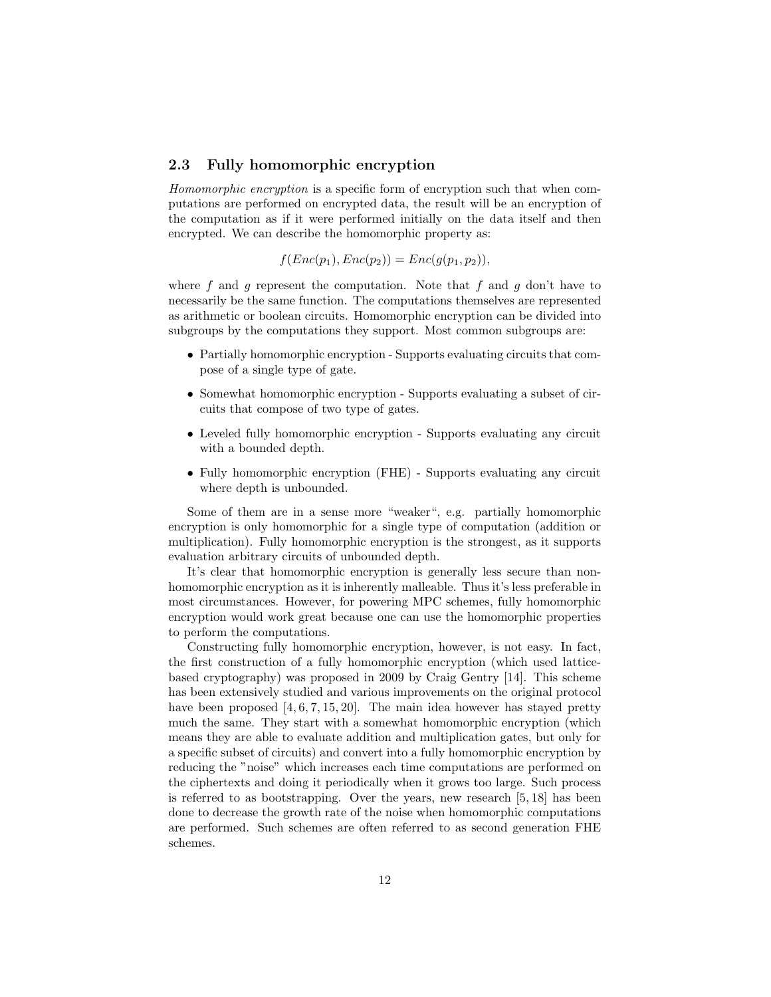### 2.3 Fully homomorphic encryption

Homomorphic encryption is a specific form of encryption such that when computations are performed on encrypted data, the result will be an encryption of the computation as if it were performed initially on the data itself and then encrypted. We can describe the homomorphic property as:

 $f(Enc(p_1), Enc(p_2)) = Enc(q(p_1, p_2)),$ 

where f and q represent the computation. Note that f and q don't have to necessarily be the same function. The computations themselves are represented as arithmetic or boolean circuits. Homomorphic encryption can be divided into subgroups by the computations they support. Most common subgroups are:

- Partially homomorphic encryption Supports evaluating circuits that compose of a single type of gate.
- Somewhat homomorphic encryption Supports evaluating a subset of circuits that compose of two type of gates.
- Leveled fully homomorphic encryption Supports evaluating any circuit with a bounded depth.
- Fully homomorphic encryption (FHE) Supports evaluating any circuit where depth is unbounded.

Some of them are in a sense more "weaker", e.g. partially homomorphic encryption is only homomorphic for a single type of computation (addition or multiplication). Fully homomorphic encryption is the strongest, as it supports evaluation arbitrary circuits of unbounded depth.

It's clear that homomorphic encryption is generally less secure than nonhomomorphic encryption as it is inherently malleable. Thus it's less preferable in most circumstances. However, for powering MPC schemes, fully homomorphic encryption would work great because one can use the homomorphic properties to perform the computations.

Constructing fully homomorphic encryption, however, is not easy. In fact, the first construction of a fully homomorphic encryption (which used latticebased cryptography) was proposed in 2009 by Craig Gentry [\[14\]](#page-15-6). This scheme has been extensively studied and various improvements on the original protocol have been proposed  $[4, 6, 7, 15, 20]$  $[4, 6, 7, 15, 20]$  $[4, 6, 7, 15, 20]$  $[4, 6, 7, 15, 20]$  $[4, 6, 7, 15, 20]$ . The main idea however has stayed pretty much the same. They start with a somewhat homomorphic encryption (which means they are able to evaluate addition and multiplication gates, but only for a specific subset of circuits) and convert into a fully homomorphic encryption by reducing the "noise" which increases each time computations are performed on the ciphertexts and doing it periodically when it grows too large. Such process is referred to as bootstrapping. Over the years, new research [\[5,](#page-14-5) [18\]](#page-16-4) has been done to decrease the growth rate of the noise when homomorphic computations are performed. Such schemes are often referred to as second generation FHE schemes.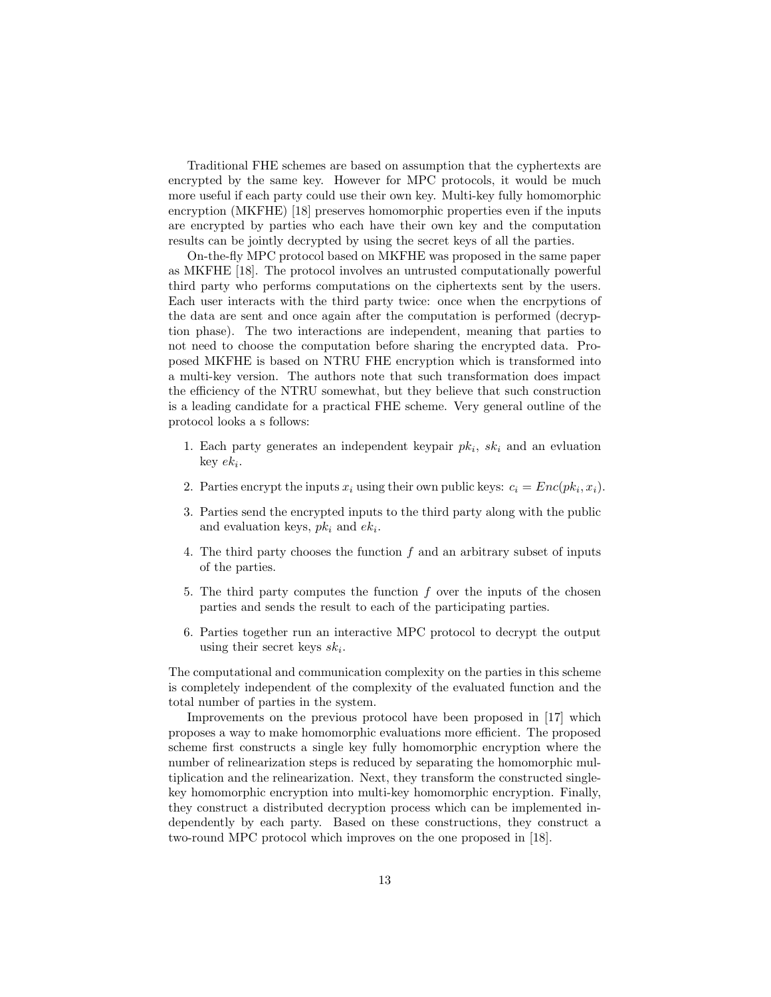Traditional FHE schemes are based on assumption that the cyphertexts are encrypted by the same key. However for MPC protocols, it would be much more useful if each party could use their own key. Multi-key fully homomorphic encryption (MKFHE) [\[18\]](#page-16-4) preserves homomorphic properties even if the inputs are encrypted by parties who each have their own key and the computation results can be jointly decrypted by using the secret keys of all the parties.

On-the-fly MPC protocol based on MKFHE was proposed in the same paper as MKFHE [\[18\]](#page-16-4). The protocol involves an untrusted computationally powerful third party who performs computations on the ciphertexts sent by the users. Each user interacts with the third party twice: once when the encrpytions of the data are sent and once again after the computation is performed (decryption phase). The two interactions are independent, meaning that parties to not need to choose the computation before sharing the encrypted data. Proposed MKFHE is based on NTRU FHE encryption which is transformed into a multi-key version. The authors note that such transformation does impact the efficiency of the NTRU somewhat, but they believe that such construction is a leading candidate for a practical FHE scheme. Very general outline of the protocol looks a s follows:

- 1. Each party generates an independent keypair  $pk_i$ ,  $sk_i$  and an evluation  $key$   $ek_i$ .
- 2. Parties encrypt the inputs  $x_i$  using their own public keys:  $c_i = Enc(pk_i, x_i)$ .
- 3. Parties send the encrypted inputs to the third party along with the public and evaluation keys,  $pk_i$  and  $ek_i$ .
- 4. The third party chooses the function f and an arbitrary subset of inputs of the parties.
- 5. The third party computes the function  $f$  over the inputs of the chosen parties and sends the result to each of the participating parties.
- 6. Parties together run an interactive MPC protocol to decrypt the output using their secret keys  $sk_i$ .

The computational and communication complexity on the parties in this scheme is completely independent of the complexity of the evaluated function and the total number of parties in the system.

Improvements on the previous protocol have been proposed in [\[17\]](#page-16-5) which proposes a way to make homomorphic evaluations more efficient. The proposed scheme first constructs a single key fully homomorphic encryption where the number of relinearization steps is reduced by separating the homomorphic multiplication and the relinearization. Next, they transform the constructed singlekey homomorphic encryption into multi-key homomorphic encryption. Finally, they construct a distributed decryption process which can be implemented independently by each party. Based on these constructions, they construct a two-round MPC protocol which improves on the one proposed in [\[18\]](#page-16-4).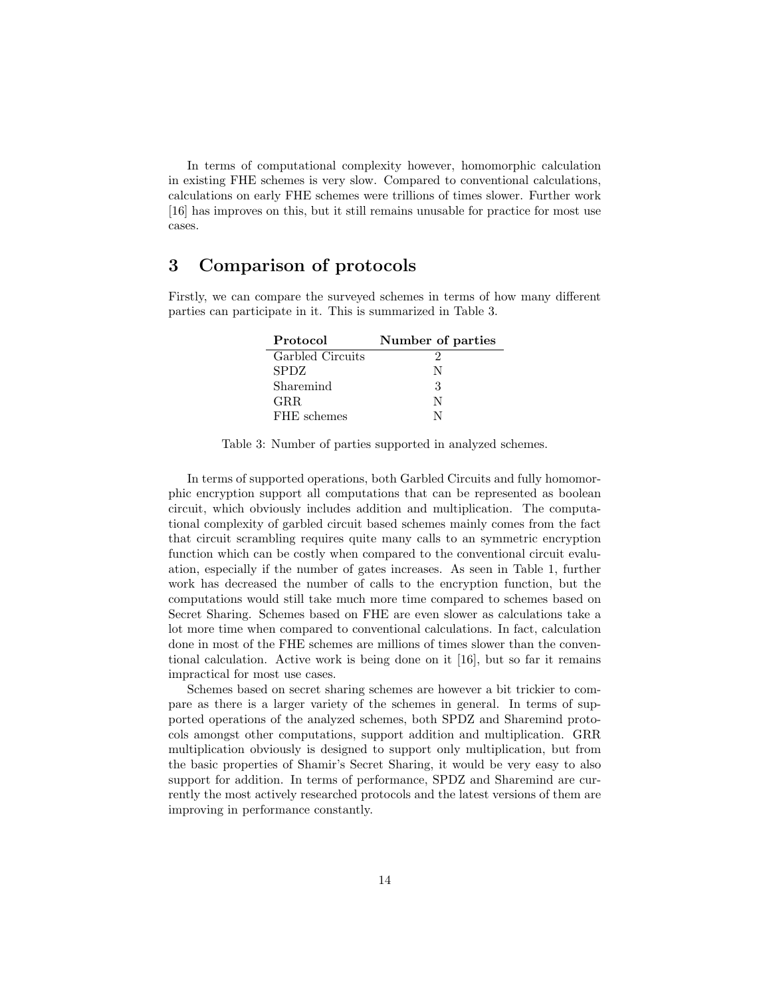In terms of computational complexity however, homomorphic calculation in existing FHE schemes is very slow. Compared to conventional calculations, calculations on early FHE schemes were trillions of times slower. Further work [\[16\]](#page-16-6) has improves on this, but it still remains unusable for practice for most use cases.

# <span id="page-13-0"></span>3 Comparison of protocols

<span id="page-13-2"></span>Firstly, we can compare the surveyed schemes in terms of how many different parties can participate in it. This is summarized in Table [3.](#page-13-2)

| Protocol         | Number of parties |
|------------------|-------------------|
| Garbled Circuits |                   |
| <b>SPDZ</b>      | N                 |
| Sharemind        | 3                 |
| GRR.             | N                 |
| FHE schemes      |                   |

Table 3: Number of parties supported in analyzed schemes.

In terms of supported operations, both Garbled Circuits and fully homomorphic encryption support all computations that can be represented as boolean circuit, which obviously includes addition and multiplication. The computational complexity of garbled circuit based schemes mainly comes from the fact that circuit scrambling requires quite many calls to an symmetric encryption function which can be costly when compared to the conventional circuit evaluation, especially if the number of gates increases. As seen in Table [1,](#page-3-0) further work has decreased the number of calls to the encryption function, but the computations would still take much more time compared to schemes based on Secret Sharing. Schemes based on FHE are even slower as calculations take a lot more time when compared to conventional calculations. In fact, calculation done in most of the FHE schemes are millions of times slower than the conventional calculation. Active work is being done on it [\[16\]](#page-16-6), but so far it remains impractical for most use cases.

<span id="page-13-1"></span>Schemes based on secret sharing schemes are however a bit trickier to compare as there is a larger variety of the schemes in general. In terms of supported operations of the analyzed schemes, both SPDZ and Sharemind protocols amongst other computations, support addition and multiplication. GRR multiplication obviously is designed to support only multiplication, but from the basic properties of Shamir's Secret Sharing, it would be very easy to also support for addition. In terms of performance, SPDZ and Sharemind are currently the most actively researched protocols and the latest versions of them are improving in performance constantly.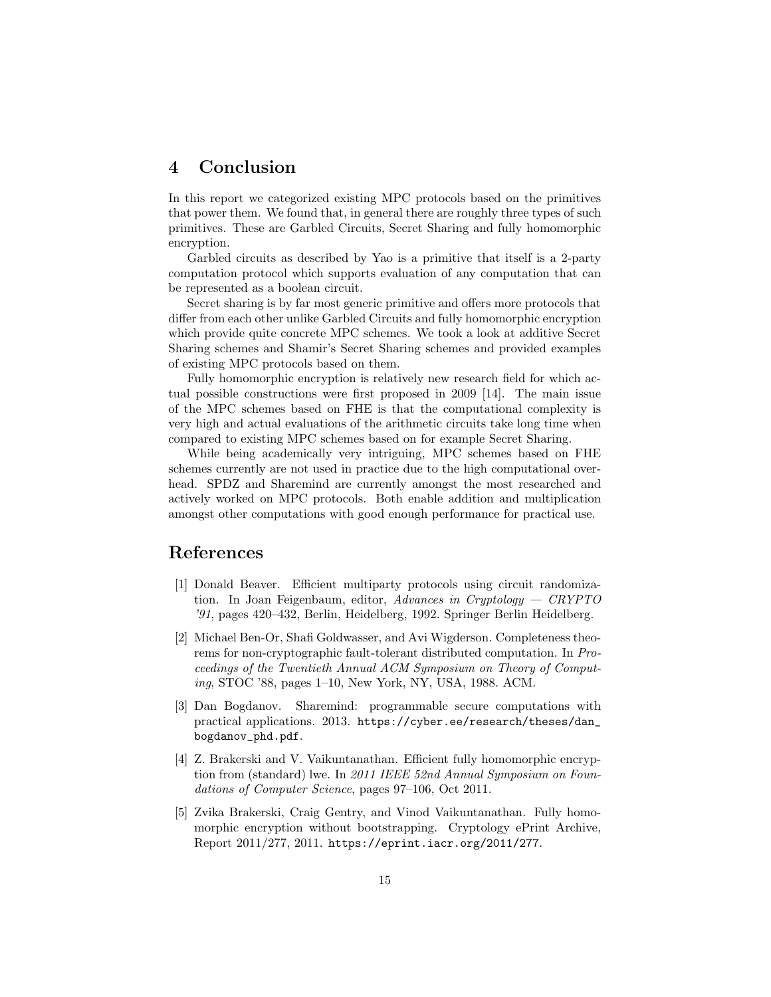# 4 Conclusion

In this report we categorized existing MPC protocols based on the primitives that power them. We found that, in general there are roughly three types of such primitives. These are Garbled Circuits, Secret Sharing and fully homomorphic encryption.

Garbled circuits as described by Yao is a primitive that itself is a 2-party computation protocol which supports evaluation of any computation that can be represented as a boolean circuit.

Secret sharing is by far most generic primitive and offers more protocols that differ from each other unlike Garbled Circuits and fully homomorphic encryption which provide quite concrete MPC schemes. We took a look at additive Secret Sharing schemes and Shamir's Secret Sharing schemes and provided examples of existing MPC protocols based on them.

Fully homomorphic encryption is relatively new research field for which actual possible constructions were first proposed in 2009 [\[14\]](#page-15-6). The main issue of the MPC schemes based on FHE is that the computational complexity is very high and actual evaluations of the arithmetic circuits take long time when compared to existing MPC schemes based on for example Secret Sharing.

While being academically very intriguing, MPC schemes based on FHE schemes currently are not used in practice due to the high computational overhead. SPDZ and Sharemind are currently amongst the most researched and actively worked on MPC protocols. Both enable addition and multiplication amongst other computations with good enough performance for practical use.

## <span id="page-14-0"></span>References

- <span id="page-14-1"></span>[1] Donald Beaver. Efficient multiparty protocols using circuit randomization. In Joan Feigenbaum, editor, Advances in Cryptology  $-$  CRYPTO '91, pages 420–432, Berlin, Heidelberg, 1992. Springer Berlin Heidelberg.
- <span id="page-14-3"></span>[2] Michael Ben-Or, Shafi Goldwasser, and Avi Wigderson. Completeness theorems for non-cryptographic fault-tolerant distributed computation. In Proceedings of the Twentieth Annual ACM Symposium on Theory of Computing, STOC '88, pages 1–10, New York, NY, USA, 1988. ACM.
- <span id="page-14-2"></span>[3] Dan Bogdanov. Sharemind: programmable secure computations with practical applications. 2013. [https://cyber.ee/research/theses/dan\\_](https://cyber.ee/research/theses/dan_bogdanov_phd.pdf) [bogdanov\\_phd.pdf](https://cyber.ee/research/theses/dan_bogdanov_phd.pdf).
- <span id="page-14-4"></span>[4] Z. Brakerski and V. Vaikuntanathan. Efficient fully homomorphic encryption from (standard) lwe. In 2011 IEEE 52nd Annual Symposium on Foundations of Computer Science, pages 97–106, Oct 2011.
- <span id="page-14-5"></span>[5] Zvika Brakerski, Craig Gentry, and Vinod Vaikuntanathan. Fully homomorphic encryption without bootstrapping. Cryptology ePrint Archive, Report 2011/277, 2011. <https://eprint.iacr.org/2011/277>.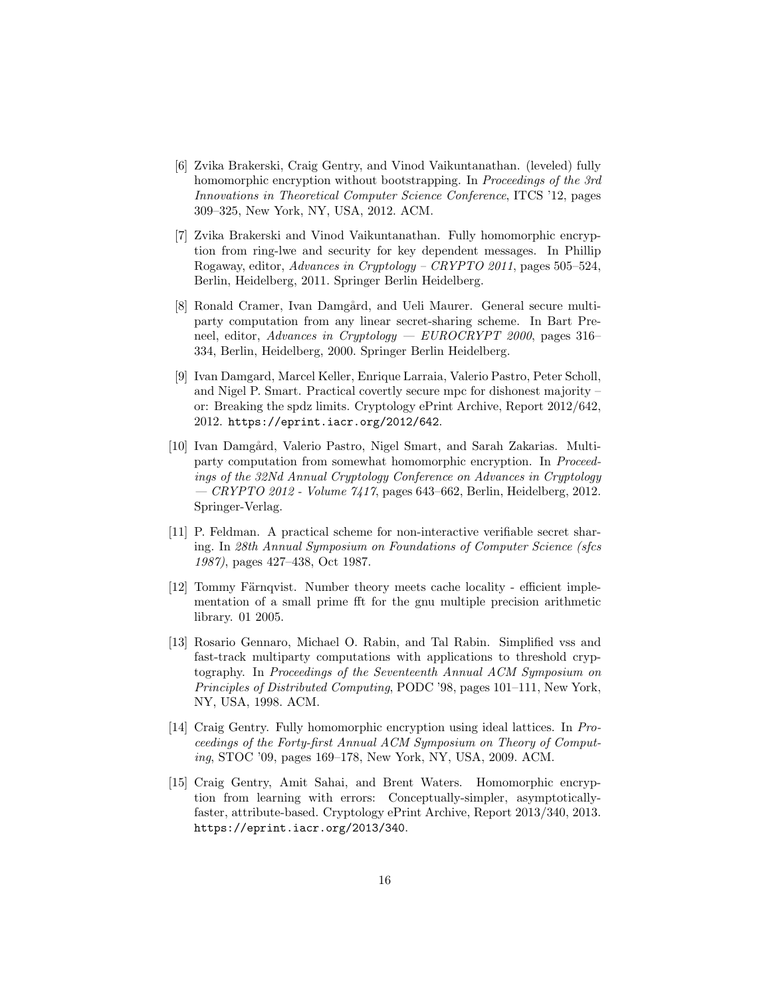- <span id="page-15-7"></span>[6] Zvika Brakerski, Craig Gentry, and Vinod Vaikuntanathan. (leveled) fully homomorphic encryption without bootstrapping. In Proceedings of the 3rd Innovations in Theoretical Computer Science Conference, ITCS '12, pages 309–325, New York, NY, USA, 2012. ACM.
- <span id="page-15-8"></span>[7] Zvika Brakerski and Vinod Vaikuntanathan. Fully homomorphic encryption from ring-lwe and security for key dependent messages. In Phillip Rogaway, editor, Advances in Cryptology – CRYPTO 2011, pages 505–524, Berlin, Heidelberg, 2011. Springer Berlin Heidelberg.
- <span id="page-15-1"></span>[8] Ronald Cramer, Ivan Damgård, and Ueli Maurer. General secure multiparty computation from any linear secret-sharing scheme. In Bart Preneel, editor, Advances in Cryptology — EUROCRYPT 2000, pages 316– 334, Berlin, Heidelberg, 2000. Springer Berlin Heidelberg.
- <span id="page-15-3"></span>[9] Ivan Damgard, Marcel Keller, Enrique Larraia, Valerio Pastro, Peter Scholl, and Nigel P. Smart. Practical covertly secure mpc for dishonest majority – or: Breaking the spdz limits. Cryptology ePrint Archive, Report 2012/642, 2012. <https://eprint.iacr.org/2012/642>.
- <span id="page-15-2"></span>[10] Ivan Damgård, Valerio Pastro, Nigel Smart, and Sarah Zakarias. Multiparty computation from somewhat homomorphic encryption. In Proceedings of the 32Nd Annual Cryptology Conference on Advances in Cryptology  $-CRYPTO 2012$  - Volume  $7417$ , pages 643–662, Berlin, Heidelberg, 2012. Springer-Verlag.
- <span id="page-15-4"></span>[11] P. Feldman. A practical scheme for non-interactive verifiable secret sharing. In 28th Annual Symposium on Foundations of Computer Science (sfcs 1987), pages 427–438, Oct 1987.
- <span id="page-15-0"></span>[12] Tommy Färnqvist. Number theory meets cache locality - efficient implementation of a small prime fft for the gnu multiple precision arithmetic library. 01 2005.
- <span id="page-15-5"></span>[13] Rosario Gennaro, Michael O. Rabin, and Tal Rabin. Simplified vss and fast-track multiparty computations with applications to threshold cryptography. In Proceedings of the Seventeenth Annual ACM Symposium on Principles of Distributed Computing, PODC '98, pages 101–111, New York, NY, USA, 1998. ACM.
- <span id="page-15-6"></span>[14] Craig Gentry. Fully homomorphic encryption using ideal lattices. In Proceedings of the Forty-first Annual ACM Symposium on Theory of Computing, STOC '09, pages 169–178, New York, NY, USA, 2009. ACM.
- <span id="page-15-9"></span>[15] Craig Gentry, Amit Sahai, and Brent Waters. Homomorphic encryption from learning with errors: Conceptually-simpler, asymptoticallyfaster, attribute-based. Cryptology ePrint Archive, Report 2013/340, 2013. <https://eprint.iacr.org/2013/340>.